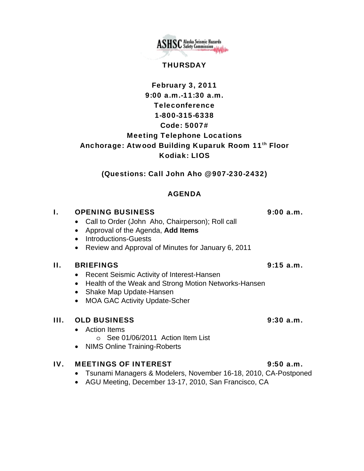**ASHSC** Alaska Seismic Hazards

### **THURSDAY**

# February 3, 2011 9:00 a.m.-11:30 a.m. Teleconference 1-800-315-6338 Code: 5007# Meeting Telephone Locations Anchorage: Atwood Building Kuparuk Room 11<sup>th</sup> Floor Kodiak: LIOS

(Questions: Call John Aho @ 907-230-2432)

# AGENDA

## I. OPENING BUSINESS 9:00 a.m.

- Call to Order (John Aho, Chairperson); Roll call
- Approval of the Agenda, **Add Items**
- Introductions-Guests
- Review and Approval of Minutes for January 6, 2011

### II. BRIEFINGS 9:15 a.m.

- Recent Seismic Activity of Interest-Hansen
- Health of the Weak and Strong Motion Networks-Hansen
- Shake Map Update-Hansen
- MOA GAC Activity Update-Scher

## III. OLD BUSINESS 9:30 a.m.

- Action Items
	- o See 01/06/2011 Action Item List
- NIMS Online Training-Roberts

## IV. MEETINGS OF INTEREST 9:50 a.m.

- Tsunami Managers & Modelers, November 16-18, 2010, CA-Postponed
- AGU Meeting, December 13-17, 2010, San Francisco, CA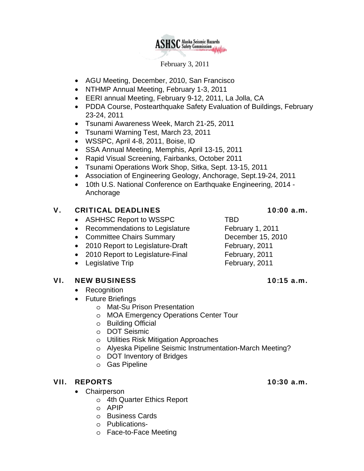

February 3, 2011

- AGU Meeting, December, 2010, San Francisco
- NTHMP Annual Meeting, February 1-3, 2011
- EERI annual Meeting, February 9-12, 2011, La Jolla, CA
- PDDA Course, Postearthquake Safety Evaluation of Buildings, February 23-24, 2011
- Tsunami Awareness Week, March 21-25, 2011
- Tsunami Warning Test, March 23, 2011
- WSSPC, April 4-8, 2011, Boise, ID
- SSA Annual Meeting, Memphis, April 13-15, 2011
- Rapid Visual Screening, Fairbanks, October 2011
- Tsunami Operations Work Shop, Sitka, Sept. 13-15, 2011
- Association of Engineering Geology, Anchorage, Sept.19-24, 2011
- 10th U.S. National Conference on Earthquake Engineering, 2014 Anchorage

### V. CRITICAL DEADLINES 10:00 a.m.

- ASHHSC Report to WSSPC TBD
- Recommendations to Legislature February 1, 2011
- Committee Chairs Summary December 15, 2010
- 2010 Report to Legislature-Draft February, 2011
- 2010 Report to Legislature-Final February, 2011
- Legislative Trip **February**, 2011

### VI. NEW BUSINESS 10:15 a.m.

- Recognition
- Future Briefings
	- o Mat-Su Prison Presentation
	- o MOA Emergency Operations Center Tour
	- o Building Official
	- o DOT Seismic
	- o Utilities Risk Mitigation Approaches
	- o Alyeska Pipeline Seismic Instrumentation-March Meeting?
	- o DOT Inventory of Bridges
	- o Gas Pipeline

### VII. REPORTS 10:30 a.m.

- Chairperson
	- o 4th Quarter Ethics Report
	- o APIP
	- o Business Cards
	- o Publications-
	- o Face-to-Face Meeting

- 
-